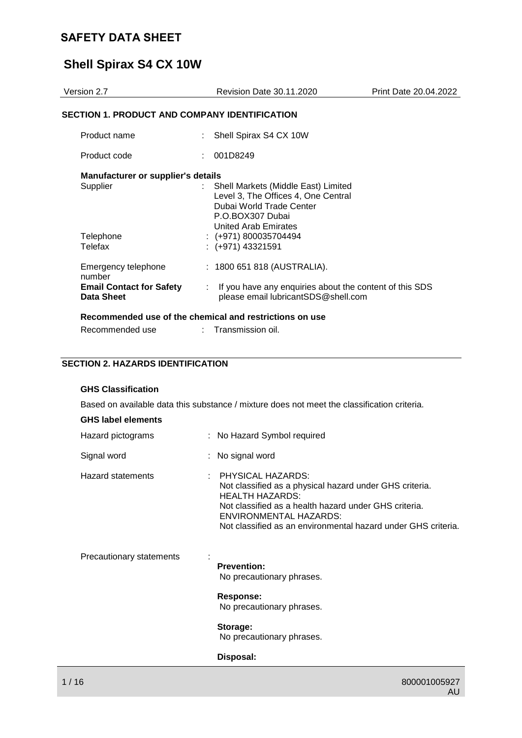# **Shell Spirax S4 CX 10W**

| Version 2.7                                                                    | <b>Revision Date 30.11.2020</b>                                                                                                                    | Print Date 20.04.2022 |
|--------------------------------------------------------------------------------|----------------------------------------------------------------------------------------------------------------------------------------------------|-----------------------|
| <b>SECTION 1. PRODUCT AND COMPANY IDENTIFICATION</b>                           |                                                                                                                                                    |                       |
| Product name                                                                   | : Shell Spirax S4 CX 10W                                                                                                                           |                       |
| Product code                                                                   | : 001D8249                                                                                                                                         |                       |
| <b>Manufacturer or supplier's details</b><br>Supplier                          | Shell Markets (Middle East) Limited<br>Level 3, The Offices 4, One Central<br>Dubai World Trade Center<br>P.O.BOX307 Dubai<br>United Arab Emirates |                       |
| Telephone<br>Telefax                                                           | $\div$ (+971) 800035704494<br>$:(+971)$ 43321591                                                                                                   |                       |
| Emergency telephone<br>number<br><b>Email Contact for Safety</b><br>Data Sheet | : 1800 651 818 (AUSTRALIA).<br>If you have any enquiries about the content of this SDS<br>please email lubricantSDS@shell.com                      |                       |
| Recommended use of the chemical and restrictions on use<br>Recommended use     | $\therefore$ Transmission oil.                                                                                                                     |                       |

## **SECTION 2. HAZARDS IDENTIFICATION**

### **GHS Classification**

Based on available data this substance / mixture does not meet the classification criteria.

#### **GHS label elements**

| Hazard pictograms        | : No Hazard Symbol required                                                                                                                                                                                                                                    |
|--------------------------|----------------------------------------------------------------------------------------------------------------------------------------------------------------------------------------------------------------------------------------------------------------|
| Signal word              | : No signal word                                                                                                                                                                                                                                               |
| <b>Hazard statements</b> | $:$ PHYSICAL HAZARDS:<br>Not classified as a physical hazard under GHS criteria.<br><b>HEALTH HAZARDS:</b><br>Not classified as a health hazard under GHS criteria.<br>ENVIRONMENTAL HAZARDS:<br>Not classified as an environmental hazard under GHS criteria. |
| Precautionary statements | <b>Prevention:</b><br>No precautionary phrases.                                                                                                                                                                                                                |
|                          | <b>Response:</b><br>No precautionary phrases.                                                                                                                                                                                                                  |
|                          | Storage:<br>No precautionary phrases.                                                                                                                                                                                                                          |
|                          | Disposal:                                                                                                                                                                                                                                                      |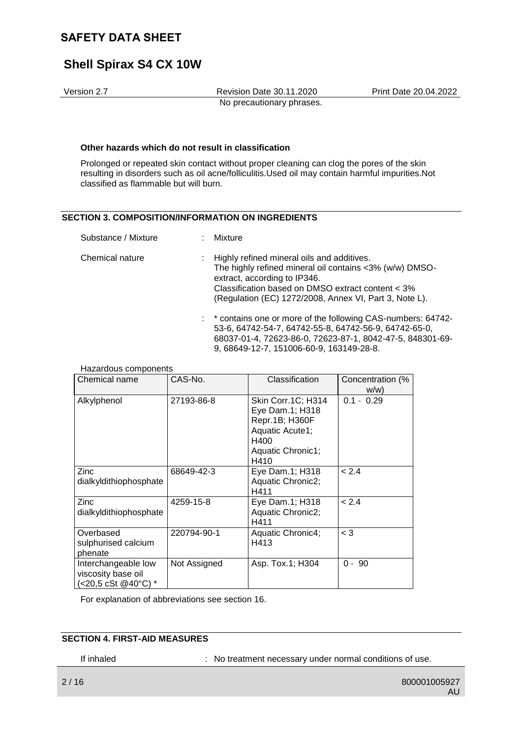# **Shell Spirax S4 CX 10W**

Version 2.7 Revision Date 30.11.2020 Print Date 20.04.2022 No precautionary phrases.

#### **Other hazards which do not result in classification**

Prolonged or repeated skin contact without proper cleaning can clog the pores of the skin resulting in disorders such as oil acne/folliculitis.Used oil may contain harmful impurities.Not classified as flammable but will burn.

#### **SECTION 3. COMPOSITION/INFORMATION ON INGREDIENTS**

| Substance / Mixture |  | : Mixture                                                                                                                                                                                                                                              |
|---------------------|--|--------------------------------------------------------------------------------------------------------------------------------------------------------------------------------------------------------------------------------------------------------|
| Chemical nature     |  | : Highly refined mineral oils and additives.<br>The highly refined mineral oil contains <3% (w/w) DMSO-<br>extract, according to IP346.<br>Classification based on DMSO extract content < 3%<br>(Regulation (EC) 1272/2008, Annex VI, Part 3, Note L). |
|                     |  | : * contains one or more of the following CAS-numbers: 64742-<br>53-6, 64742-54-7, 64742-55-8, 64742-56-9, 64742-65-0,<br>68037-01-4, 72623-86-0, 72623-87-1, 8042-47-5, 848301-69-<br>9, 68649-12-7, 151006-60-9, 163149-28-8.                        |

| . .aza.avao oopoo<br>Chemical name                               | CAS-No.      | Classification                                                                                                  | Concentration (%<br>W/W |
|------------------------------------------------------------------|--------------|-----------------------------------------------------------------------------------------------------------------|-------------------------|
| Alkylphenol                                                      | 27193-86-8   | Skin Corr.1C; H314<br>Eye Dam.1; H318<br>Repr.1B; H360F<br>Aquatic Acute1;<br>H400<br>Aquatic Chronic1;<br>H410 | $0.1 - 0.29$            |
| Zinc<br>dialkyldithiophosphate                                   | 68649-42-3   | Eye Dam.1; H318<br>Aquatic Chronic2;<br>H411                                                                    | < 2.4                   |
| <b>Zinc</b><br>dialkyldithiophosphate                            | 4259-15-8    | Eye Dam.1; H318<br>Aquatic Chronic2;<br>H411                                                                    | < 2.4                   |
| Overbased<br>sulphurised calcium<br>phenate                      | 220794-90-1  | Aquatic Chronic4;<br>H413                                                                                       | $<$ 3                   |
| Interchangeable low<br>viscosity base oil<br>(<20,5 cSt @40°C) * | Not Assigned | Asp. Tox.1; H304                                                                                                | $0 - 90$                |

Hazardous components

For explanation of abbreviations see section 16.

### **SECTION 4. FIRST-AID MEASURES**

If inhaled : No treatment necessary under normal conditions of use.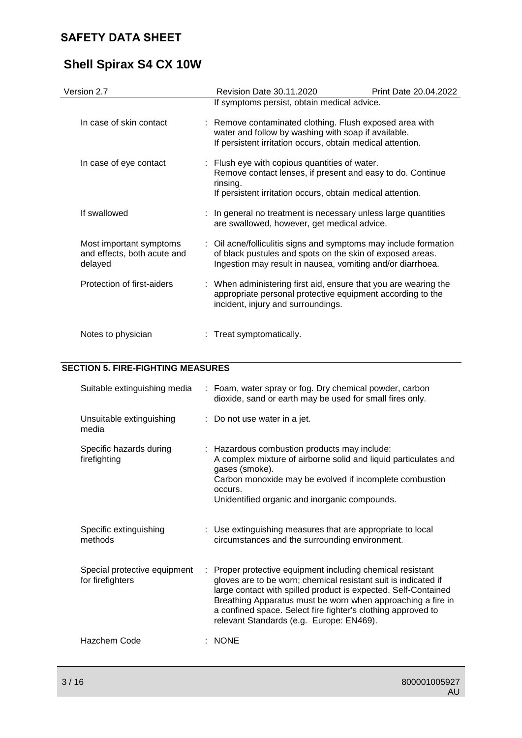# **Shell Spirax S4 CX 10W**

| Version 2.7                                                       | Revision Date 30.11.2020                                                                                                                                                                    | Print Date 20.04.2022 |
|-------------------------------------------------------------------|---------------------------------------------------------------------------------------------------------------------------------------------------------------------------------------------|-----------------------|
|                                                                   | If symptoms persist, obtain medical advice.                                                                                                                                                 |                       |
| In case of skin contact                                           | : Remove contaminated clothing. Flush exposed area with<br>water and follow by washing with soap if available.<br>If persistent irritation occurs, obtain medical attention.                |                       |
| In case of eye contact                                            | : Flush eye with copious quantities of water.<br>Remove contact lenses, if present and easy to do. Continue<br>rinsing.<br>If persistent irritation occurs, obtain medical attention.       |                       |
| If swallowed                                                      | : In general no treatment is necessary unless large quantities<br>are swallowed, however, get medical advice.                                                                               |                       |
| Most important symptoms<br>and effects, both acute and<br>delayed | : Oil acne/folliculitis signs and symptoms may include formation<br>of black pustules and spots on the skin of exposed areas.<br>Ingestion may result in nausea, vomiting and/or diarrhoea. |                       |
| Protection of first-aiders                                        | : When administering first aid, ensure that you are wearing the<br>appropriate personal protective equipment according to the<br>incident, injury and surroundings.                         |                       |
| Notes to physician                                                | : Treat symptomatically.                                                                                                                                                                    |                       |

### **SECTION 5. FIRE-FIGHTING MEASURES**

| Suitable extinguishing media                     |    | : Foam, water spray or fog. Dry chemical powder, carbon<br>dioxide, sand or earth may be used for small fires only.                                                                                                                                                                                                                                                     |
|--------------------------------------------------|----|-------------------------------------------------------------------------------------------------------------------------------------------------------------------------------------------------------------------------------------------------------------------------------------------------------------------------------------------------------------------------|
| Unsuitable extinguishing<br>media                |    | : Do not use water in a jet.                                                                                                                                                                                                                                                                                                                                            |
| Specific hazards during<br>firefighting          |    | : Hazardous combustion products may include:<br>A complex mixture of airborne solid and liquid particulates and<br>gases (smoke).<br>Carbon monoxide may be evolved if incomplete combustion<br>occurs.<br>Unidentified organic and inorganic compounds.                                                                                                                |
| Specific extinguishing<br>methods                |    | : Use extinguishing measures that are appropriate to local<br>circumstances and the surrounding environment.                                                                                                                                                                                                                                                            |
| Special protective equipment<br>for firefighters | ÷. | Proper protective equipment including chemical resistant<br>gloves are to be worn; chemical resistant suit is indicated if<br>large contact with spilled product is expected. Self-Contained<br>Breathing Apparatus must be worn when approaching a fire in<br>a confined space. Select fire fighter's clothing approved to<br>relevant Standards (e.g. Europe: EN469). |
| Hazchem Code                                     |    | $:$ NONE                                                                                                                                                                                                                                                                                                                                                                |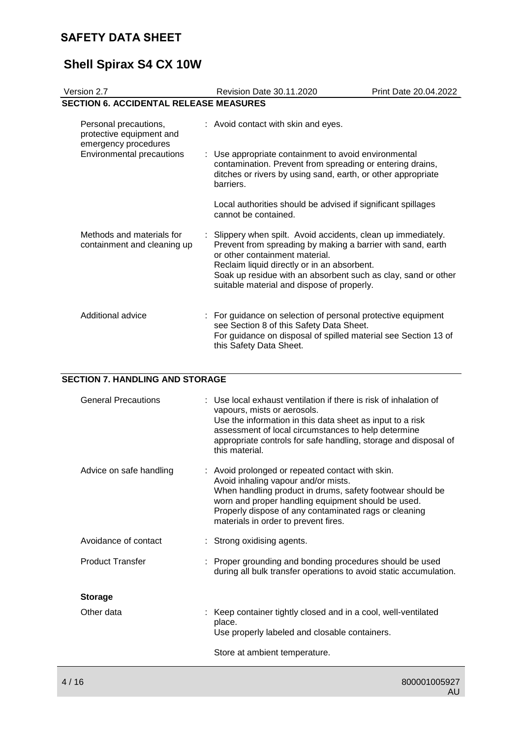# **Shell Spirax S4 CX 10W**

| Version 2.7                                                               |  | Revision Date 30.11.2020                                                                                                                                                                                                                                                                                                     | Print Date 20.04.2022 |
|---------------------------------------------------------------------------|--|------------------------------------------------------------------------------------------------------------------------------------------------------------------------------------------------------------------------------------------------------------------------------------------------------------------------------|-----------------------|
| <b>SECTION 6. ACCIDENTAL RELEASE MEASURES</b>                             |  |                                                                                                                                                                                                                                                                                                                              |                       |
| Personal precautions,<br>protective equipment and<br>emergency procedures |  | : Avoid contact with skin and eyes.                                                                                                                                                                                                                                                                                          |                       |
| <b>Environmental precautions</b>                                          |  | : Use appropriate containment to avoid environmental<br>contamination. Prevent from spreading or entering drains,<br>ditches or rivers by using sand, earth, or other appropriate<br>barriers.                                                                                                                               |                       |
|                                                                           |  | Local authorities should be advised if significant spillages<br>cannot be contained.                                                                                                                                                                                                                                         |                       |
| Methods and materials for<br>containment and cleaning up                  |  | : Slippery when spilt. Avoid accidents, clean up immediately.<br>Prevent from spreading by making a barrier with sand, earth<br>or other containment material.<br>Reclaim liquid directly or in an absorbent.<br>Soak up residue with an absorbent such as clay, sand or other<br>suitable material and dispose of properly. |                       |
| Additional advice                                                         |  | : For guidance on selection of personal protective equipment<br>see Section 8 of this Safety Data Sheet.<br>For guidance on disposal of spilled material see Section 13 of<br>this Safety Data Sheet.                                                                                                                        |                       |

## **SECTION 7. HANDLING AND STORAGE**

| <b>General Precautions</b> | : Use local exhaust ventilation if there is risk of inhalation of<br>vapours, mists or aerosols.<br>Use the information in this data sheet as input to a risk<br>assessment of local circumstances to help determine<br>appropriate controls for safe handling, storage and disposal of<br>this material.   |
|----------------------------|-------------------------------------------------------------------------------------------------------------------------------------------------------------------------------------------------------------------------------------------------------------------------------------------------------------|
| Advice on safe handling    | : Avoid prolonged or repeated contact with skin.<br>Avoid inhaling vapour and/or mists.<br>When handling product in drums, safety footwear should be<br>worn and proper handling equipment should be used.<br>Properly dispose of any contaminated rags or cleaning<br>materials in order to prevent fires. |
| Avoidance of contact       | : Strong oxidising agents.                                                                                                                                                                                                                                                                                  |
| <b>Product Transfer</b>    | : Proper grounding and bonding procedures should be used<br>during all bulk transfer operations to avoid static accumulation.                                                                                                                                                                               |
| <b>Storage</b>             |                                                                                                                                                                                                                                                                                                             |
| Other data                 | : Keep container tightly closed and in a cool, well-ventilated<br>place.<br>Use properly labeled and closable containers.                                                                                                                                                                                   |
|                            | Store at ambient temperature.                                                                                                                                                                                                                                                                               |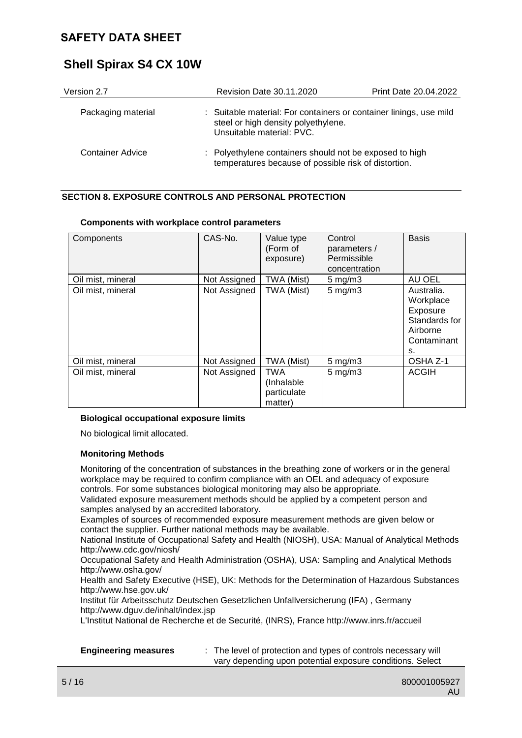# **Shell Spirax S4 CX 10W**

| Version 2.7        | Revision Date 30.11.2020                                                                                                               | Print Date 20.04.2022 |
|--------------------|----------------------------------------------------------------------------------------------------------------------------------------|-----------------------|
| Packaging material | : Suitable material: For containers or container linings, use mild<br>steel or high density polyethylene.<br>Unsuitable material: PVC. |                       |
| Container Advice   | : Polyethylene containers should not be exposed to high<br>temperatures because of possible risk of distortion.                        |                       |

### **SECTION 8. EXPOSURE CONTROLS AND PERSONAL PROTECTION**

| Components        | CAS-No.      | Value type<br>(Form of<br>exposure)                | Control<br>parameters /<br>Permissible<br>concentration | <b>Basis</b>                                                                          |
|-------------------|--------------|----------------------------------------------------|---------------------------------------------------------|---------------------------------------------------------------------------------------|
| Oil mist, mineral | Not Assigned | TWA (Mist)                                         | $5 \text{ mg/m}$                                        | AU OEL                                                                                |
| Oil mist, mineral | Not Assigned | TWA (Mist)                                         | $5$ mg/m $3$                                            | Australia.<br>Workplace<br>Exposure<br>Standards for<br>Airborne<br>Contaminant<br>s. |
| Oil mist, mineral | Not Assigned | TWA (Mist)                                         | $5$ mg/m $3$                                            | OSHA Z-1                                                                              |
| Oil mist, mineral | Not Assigned | <b>TWA</b><br>(Inhalable<br>particulate<br>matter) | $5$ mg/m $3$                                            | <b>ACGIH</b>                                                                          |

#### **Components with workplace control parameters**

#### **Biological occupational exposure limits**

No biological limit allocated.

#### **Monitoring Methods**

Monitoring of the concentration of substances in the breathing zone of workers or in the general workplace may be required to confirm compliance with an OEL and adequacy of exposure controls. For some substances biological monitoring may also be appropriate.

Validated exposure measurement methods should be applied by a competent person and samples analysed by an accredited laboratory.

Examples of sources of recommended exposure measurement methods are given below or contact the supplier. Further national methods may be available.

National Institute of Occupational Safety and Health (NIOSH), USA: Manual of Analytical Methods http://www.cdc.gov/niosh/

Occupational Safety and Health Administration (OSHA), USA: Sampling and Analytical Methods http://www.osha.gov/

Health and Safety Executive (HSE), UK: Methods for the Determination of Hazardous Substances http://www.hse.gov.uk/

Institut für Arbeitsschutz Deutschen Gesetzlichen Unfallversicherung (IFA) , Germany http://www.dguv.de/inhalt/index.jsp

L'Institut National de Recherche et de Securité, (INRS), France http://www.inrs.fr/accueil

| <b>Engineering measures</b> |  |
|-----------------------------|--|
|-----------------------------|--|

**Engineering measures** : The level of protection and types of controls necessary will vary depending upon potential exposure conditions. Select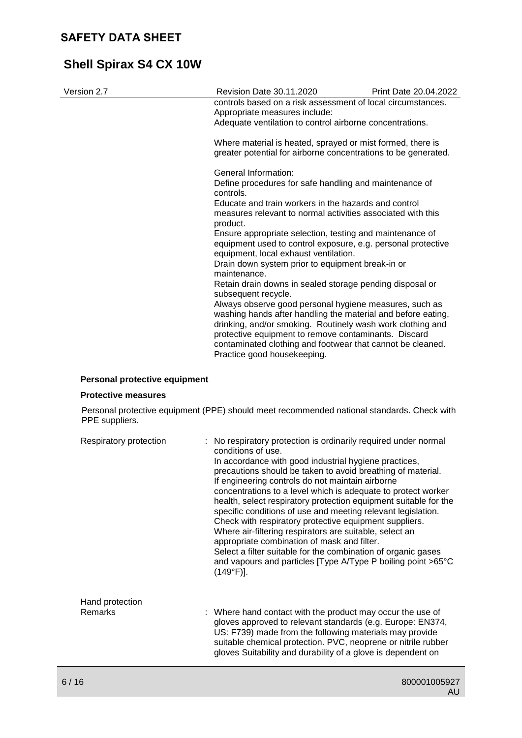# **Shell Spirax S4 CX 10W**

| Version 2.7 | Revision Date 30.11.2020                                                                                                                                                                                                                                                                                                                  | <b>Print Date 20.04.2022</b> |
|-------------|-------------------------------------------------------------------------------------------------------------------------------------------------------------------------------------------------------------------------------------------------------------------------------------------------------------------------------------------|------------------------------|
|             | controls based on a risk assessment of local circumstances.<br>Appropriate measures include:                                                                                                                                                                                                                                              |                              |
|             | Adequate ventilation to control airborne concentrations.                                                                                                                                                                                                                                                                                  |                              |
|             | Where material is heated, sprayed or mist formed, there is<br>greater potential for airborne concentrations to be generated.                                                                                                                                                                                                              |                              |
|             | General Information:                                                                                                                                                                                                                                                                                                                      |                              |
|             | Define procedures for safe handling and maintenance of<br>controls.                                                                                                                                                                                                                                                                       |                              |
|             | Educate and train workers in the hazards and control<br>measures relevant to normal activities associated with this<br>product.                                                                                                                                                                                                           |                              |
|             | Ensure appropriate selection, testing and maintenance of<br>equipment used to control exposure, e.g. personal protective<br>equipment, local exhaust ventilation.                                                                                                                                                                         |                              |
|             | Drain down system prior to equipment break-in or<br>maintenance.                                                                                                                                                                                                                                                                          |                              |
|             | Retain drain downs in sealed storage pending disposal or<br>subsequent recycle.                                                                                                                                                                                                                                                           |                              |
|             | Always observe good personal hygiene measures, such as<br>washing hands after handling the material and before eating,<br>drinking, and/or smoking. Routinely wash work clothing and<br>protective equipment to remove contaminants. Discard<br>contaminated clothing and footwear that cannot be cleaned.<br>Practice good housekeeping. |                              |
|             |                                                                                                                                                                                                                                                                                                                                           |                              |

### **Personal protective equipment**

#### **Protective measures**

Personal protective equipment (PPE) should meet recommended national standards. Check with PPE suppliers.

| Respiratory protection            | : No respiratory protection is ordinarily required under normal<br>conditions of use.<br>In accordance with good industrial hygiene practices,<br>precautions should be taken to avoid breathing of material.<br>If engineering controls do not maintain airborne<br>concentrations to a level which is adequate to protect worker<br>health, select respiratory protection equipment suitable for the<br>specific conditions of use and meeting relevant legislation.<br>Check with respiratory protective equipment suppliers.<br>Where air-filtering respirators are suitable, select an<br>appropriate combination of mask and filter.<br>Select a filter suitable for the combination of organic gases<br>and vapours and particles [Type A/Type P boiling point >65°C<br>$(149°F)$ ]. |
|-----------------------------------|---------------------------------------------------------------------------------------------------------------------------------------------------------------------------------------------------------------------------------------------------------------------------------------------------------------------------------------------------------------------------------------------------------------------------------------------------------------------------------------------------------------------------------------------------------------------------------------------------------------------------------------------------------------------------------------------------------------------------------------------------------------------------------------------|
| Hand protection<br><b>Remarks</b> | : Where hand contact with the product may occur the use of<br>gloves approved to relevant standards (e.g. Europe: EN374,<br>US: F739) made from the following materials may provide<br>suitable chemical protection. PVC, neoprene or nitrile rubber<br>gloves Suitability and durability of a glove is dependent on                                                                                                                                                                                                                                                                                                                                                                                                                                                                        |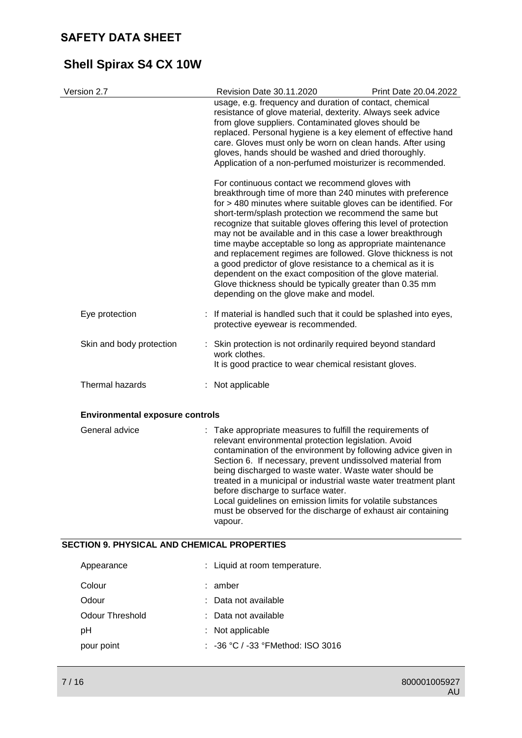# **Shell Spirax S4 CX 10W**

| Version 2.7                            |  | Revision Date 30.11.2020                                                                                                                                                                                                                                                                                                                                                                                                                                                                                                                                                                                                                                                                                                                  | Print Date 20.04.2022 |  |
|----------------------------------------|--|-------------------------------------------------------------------------------------------------------------------------------------------------------------------------------------------------------------------------------------------------------------------------------------------------------------------------------------------------------------------------------------------------------------------------------------------------------------------------------------------------------------------------------------------------------------------------------------------------------------------------------------------------------------------------------------------------------------------------------------------|-----------------------|--|
|                                        |  | usage, e.g. frequency and duration of contact, chemical<br>resistance of glove material, dexterity. Always seek advice<br>from glove suppliers. Contaminated gloves should be<br>replaced. Personal hygiene is a key element of effective hand<br>care. Gloves must only be worn on clean hands. After using<br>gloves, hands should be washed and dried thoroughly.<br>Application of a non-perfumed moisturizer is recommended.                                                                                                                                                                                                                                                                                                         |                       |  |
|                                        |  | For continuous contact we recommend gloves with<br>breakthrough time of more than 240 minutes with preference<br>for > 480 minutes where suitable gloves can be identified. For<br>short-term/splash protection we recommend the same but<br>recognize that suitable gloves offering this level of protection<br>may not be available and in this case a lower breakthrough<br>time maybe acceptable so long as appropriate maintenance<br>and replacement regimes are followed. Glove thickness is not<br>a good predictor of glove resistance to a chemical as it is<br>dependent on the exact composition of the glove material.<br>Glove thickness should be typically greater than 0.35 mm<br>depending on the glove make and model. |                       |  |
| Eye protection                         |  | : If material is handled such that it could be splashed into eyes,<br>protective eyewear is recommended.                                                                                                                                                                                                                                                                                                                                                                                                                                                                                                                                                                                                                                  |                       |  |
| Skin and body protection               |  | : Skin protection is not ordinarily required beyond standard<br>work clothes.<br>It is good practice to wear chemical resistant gloves.                                                                                                                                                                                                                                                                                                                                                                                                                                                                                                                                                                                                   |                       |  |
| Thermal hazards                        |  | : Not applicable                                                                                                                                                                                                                                                                                                                                                                                                                                                                                                                                                                                                                                                                                                                          |                       |  |
| <b>Environmental exposure controls</b> |  |                                                                                                                                                                                                                                                                                                                                                                                                                                                                                                                                                                                                                                                                                                                                           |                       |  |
| General advice                         |  | : Take appropriate measures to fulfill the requirements of<br>relevant environmental protection legislation. Avoid<br>contamination of the environment by following advice given in<br>Section 6. If necessary, prevent undissolved material from<br>being discharged to waste water. Waste water should be<br>treated in a municipal or industrial waste water treatment plant<br>before discharge to surface water.                                                                                                                                                                                                                                                                                                                     |                       |  |

Local guidelines on emission limits for volatile substances must be observed for the discharge of exhaust air containing vapour.

### **SECTION 9. PHYSICAL AND CHEMICAL PROPERTIES**

| Appearance      | : Liquid at room temperature.                |
|-----------------|----------------------------------------------|
| Colour          | $:$ amber                                    |
| Odour           | : Data not available                         |
| Odour Threshold | : Data not available                         |
| рH              | $:$ Not applicable                           |
| pour point      | $\therefore$ -36 °C / -33 °FMethod: ISO 3016 |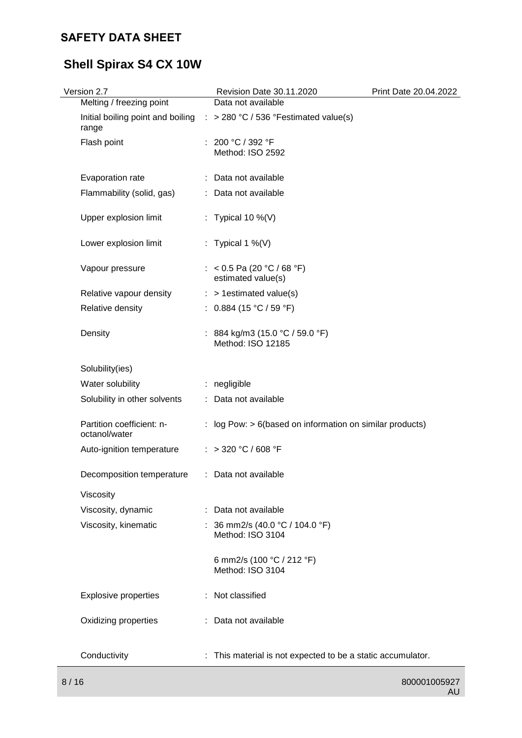# **Shell Spirax S4 CX 10W**

| Version 2.7<br>Melting / freezing point    | Revision Date 30.11.2020<br>Data not available              | Print Date 20.04.2022 |
|--------------------------------------------|-------------------------------------------------------------|-----------------------|
| Initial boiling point and boiling<br>range | : > 280 °C / 536 °Festimated value(s)                       |                       |
| Flash point                                | : 200 °C / 392 °F<br>Method: ISO 2592                       |                       |
| Evaporation rate                           | : Data not available                                        |                       |
| Flammability (solid, gas)                  | : Data not available                                        |                       |
| Upper explosion limit                      | : Typical 10 %(V)                                           |                       |
| Lower explosion limit                      | : Typical 1 %(V)                                            |                       |
| Vapour pressure                            | : < 0.5 Pa (20 °C / 68 °F)<br>estimated value(s)            |                       |
| Relative vapour density                    | $:$ > 1 estimated value(s)                                  |                       |
| Relative density                           | : $0.884$ (15 °C / 59 °F)                                   |                       |
| Density                                    | : 884 kg/m3 (15.0 °C / 59.0 °F)<br>Method: ISO 12185        |                       |
| Solubility(ies)                            |                                                             |                       |
| Water solubility                           | : negligible                                                |                       |
| Solubility in other solvents               | : Data not available                                        |                       |
| Partition coefficient: n-<br>octanol/water | : log Pow: $> 6$ (based on information on similar products) |                       |
| Auto-ignition temperature                  | : > 320 °C / 608 °F                                         |                       |
| Decomposition temperature                  | Data not available                                          |                       |
| Viscosity                                  |                                                             |                       |
| Viscosity, dynamic                         | : Data not available                                        |                       |
| Viscosity, kinematic                       | : 36 mm2/s (40.0 °C / 104.0 °F)<br>Method: ISO 3104         |                       |
|                                            | 6 mm2/s (100 °C / 212 °F)<br>Method: ISO 3104               |                       |
| <b>Explosive properties</b>                | : Not classified                                            |                       |
| Oxidizing properties                       | Data not available                                          |                       |
| Conductivity                               | : This material is not expected to be a static accumulator. |                       |
| 8/16                                       |                                                             | 800001005927          |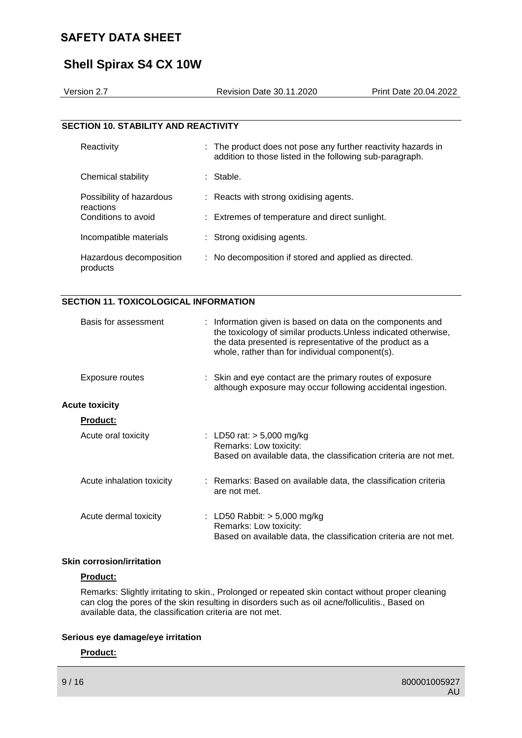# **Shell Spirax S4 CX 10W**

| Version 2.7                                 | <b>Revision Date 30.11.2020</b>                                                                                           | <b>Print Date 20.04.2022</b> |
|---------------------------------------------|---------------------------------------------------------------------------------------------------------------------------|------------------------------|
|                                             |                                                                                                                           |                              |
| <b>SECTION 10. STABILITY AND REACTIVITY</b> |                                                                                                                           |                              |
| Reactivity                                  | : The product does not pose any further reactivity hazards in<br>addition to those listed in the following sub-paragraph. |                              |
| Chemical stability                          | : Stable.                                                                                                                 |                              |
| Possibility of hazardous                    | : Reacts with strong oxidising agents.                                                                                    |                              |
| reactions<br>Conditions to avoid            | : Extremes of temperature and direct sunlight.                                                                            |                              |
| Incompatible materials                      | : Strong oxidising agents.                                                                                                |                              |
| Hazardous decomposition                     | : No decomposition if stored and applied as directed.                                                                     |                              |

#### **SECTION 11. TOXICOLOGICAL INFORMATION**

| Basis for assessment      | : Information given is based on data on the components and<br>the toxicology of similar products. Unless indicated otherwise,<br>the data presented is representative of the product as a<br>whole, rather than for individual component(s). |
|---------------------------|----------------------------------------------------------------------------------------------------------------------------------------------------------------------------------------------------------------------------------------------|
| Exposure routes           | : Skin and eye contact are the primary routes of exposure<br>although exposure may occur following accidental ingestion.                                                                                                                     |
| <b>Acute toxicity</b>     |                                                                                                                                                                                                                                              |
| <b>Product:</b>           |                                                                                                                                                                                                                                              |
| Acute oral toxicity       | : LD50 rat: $> 5,000$ mg/kg<br>Remarks: Low toxicity:<br>Based on available data, the classification criteria are not met.                                                                                                                   |
| Acute inhalation toxicity | : Remarks: Based on available data, the classification criteria<br>are not met.                                                                                                                                                              |
| Acute dermal toxicity     | : LD50 Rabbit: $>$ 5,000 mg/kg<br>Remarks: Low toxicity:<br>Based on available data, the classification criteria are not met.                                                                                                                |

#### **Skin corrosion/irritation**

#### **Product:**

products

Remarks: Slightly irritating to skin., Prolonged or repeated skin contact without proper cleaning can clog the pores of the skin resulting in disorders such as oil acne/folliculitis., Based on available data, the classification criteria are not met.

#### **Serious eye damage/eye irritation**

#### **Product:**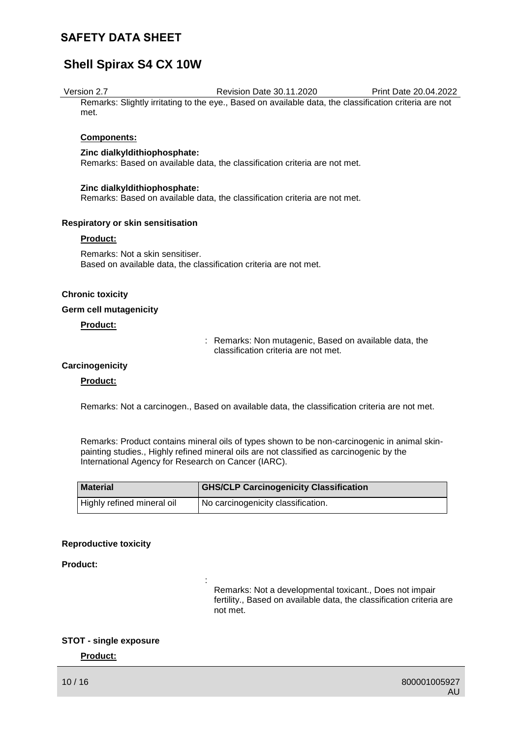# **Shell Spirax S4 CX 10W**

#### Version 2.7 Revision Date 30.11.2020 Print Date 20.04.2022

Remarks: Slightly irritating to the eye., Based on available data, the classification criteria are not met.

#### **Components:**

#### **Zinc dialkyldithiophosphate:**

Remarks: Based on available data, the classification criteria are not met.

#### **Zinc dialkyldithiophosphate:**

Remarks: Based on available data, the classification criteria are not met.

#### **Respiratory or skin sensitisation**

#### **Product:**

Remarks: Not a skin sensitiser. Based on available data, the classification criteria are not met.

:

#### **Chronic toxicity**

#### **Germ cell mutagenicity**

#### **Product:**

: Remarks: Non mutagenic, Based on available data, the classification criteria are not met.

#### **Carcinogenicity**

#### **Product:**

Remarks: Not a carcinogen., Based on available data, the classification criteria are not met.

Remarks: Product contains mineral oils of types shown to be non-carcinogenic in animal skinpainting studies., Highly refined mineral oils are not classified as carcinogenic by the International Agency for Research on Cancer (IARC).

| <b>Material</b>            | <b>GHS/CLP Carcinogenicity Classification</b> |
|----------------------------|-----------------------------------------------|
| Highly refined mineral oil | I No carcinogenicity classification.          |

#### **Reproductive toxicity**

#### **Product:**

Remarks: Not a developmental toxicant., Does not impair fertility., Based on available data, the classification criteria are not met.

#### **STOT - single exposure**

#### **Product:**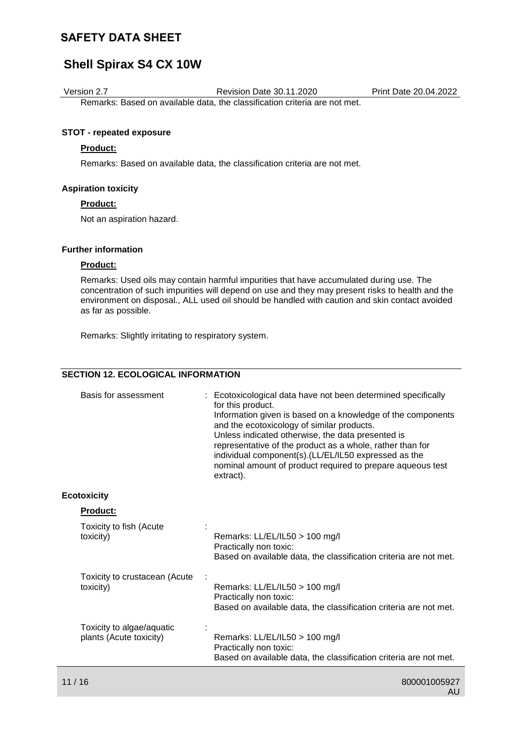## **Shell Spirax S4 CX 10W**

Version 2.7 Revision Date 30.11.2020 Print Date 20.04.2022

Remarks: Based on available data, the classification criteria are not met.

#### **STOT - repeated exposure**

#### **Product:**

Remarks: Based on available data, the classification criteria are not met.

#### **Aspiration toxicity**

#### **Product:**

Not an aspiration hazard.

#### **Further information**

#### **Product:**

Remarks: Used oils may contain harmful impurities that have accumulated during use. The concentration of such impurities will depend on use and they may present risks to health and the environment on disposal., ALL used oil should be handled with caution and skin contact avoided as far as possible.

Remarks: Slightly irritating to respiratory system.

#### **SECTION 12. ECOLOGICAL INFORMATION**

| Basis for assessment                                 | : Ecotoxicological data have not been determined specifically<br>for this product.<br>Information given is based on a knowledge of the components<br>and the ecotoxicology of similar products.<br>Unless indicated otherwise, the data presented is<br>representative of the product as a whole, rather than for<br>individual component(s).(LL/EL/IL50 expressed as the<br>nominal amount of product required to prepare aqueous test<br>extract). |
|------------------------------------------------------|------------------------------------------------------------------------------------------------------------------------------------------------------------------------------------------------------------------------------------------------------------------------------------------------------------------------------------------------------------------------------------------------------------------------------------------------------|
| <b>Ecotoxicity</b>                                   |                                                                                                                                                                                                                                                                                                                                                                                                                                                      |
| Product:                                             |                                                                                                                                                                                                                                                                                                                                                                                                                                                      |
| Toxicity to fish (Acute<br>toxicity)                 | Remarks: LL/EL/IL50 > 100 mg/l<br>Practically non toxic:<br>Based on available data, the classification criteria are not met.                                                                                                                                                                                                                                                                                                                        |
| Toxicity to crustacean (Acute<br>toxicity)           | Remarks: LL/EL/IL50 > 100 mg/l<br>Practically non toxic:<br>Based on available data, the classification criteria are not met.                                                                                                                                                                                                                                                                                                                        |
| Toxicity to algae/aquatic<br>plants (Acute toxicity) | Remarks: LL/EL/IL50 > 100 mg/l<br>Practically non toxic:<br>Based on available data, the classification criteria are not met.                                                                                                                                                                                                                                                                                                                        |
|                                                      |                                                                                                                                                                                                                                                                                                                                                                                                                                                      |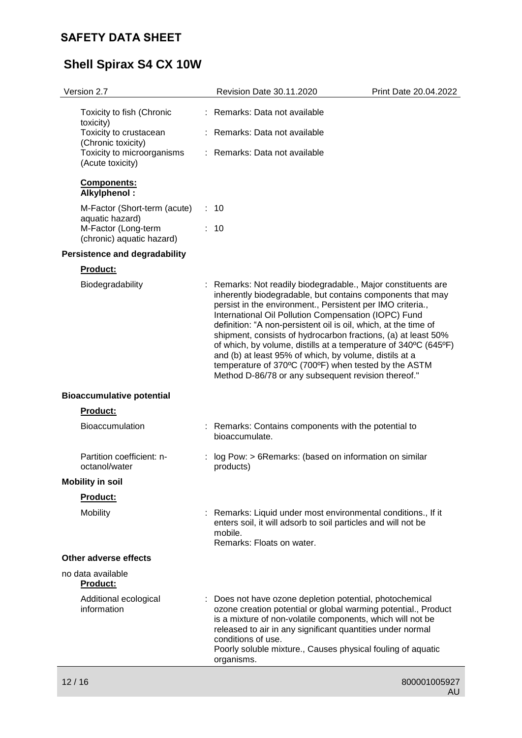# **Shell Spirax S4 CX 10W**

| Version 2.7                                                          |    | Revision Date 30.11.2020                                                                                                                                                                                                                                                                                                                                                                                                                                                                                                                                                                                                          | Print Date 20.04.2022 |
|----------------------------------------------------------------------|----|-----------------------------------------------------------------------------------------------------------------------------------------------------------------------------------------------------------------------------------------------------------------------------------------------------------------------------------------------------------------------------------------------------------------------------------------------------------------------------------------------------------------------------------------------------------------------------------------------------------------------------------|-----------------------|
| Toxicity to fish (Chronic<br>toxicity)                               |    | Remarks: Data not available                                                                                                                                                                                                                                                                                                                                                                                                                                                                                                                                                                                                       |                       |
| Toxicity to crustacean                                               |    | : Remarks: Data not available                                                                                                                                                                                                                                                                                                                                                                                                                                                                                                                                                                                                     |                       |
| (Chronic toxicity)<br>Toxicity to microorganisms<br>(Acute toxicity) |    | Remarks: Data not available                                                                                                                                                                                                                                                                                                                                                                                                                                                                                                                                                                                                       |                       |
| Components:<br>Alkylphenol:                                          |    |                                                                                                                                                                                                                                                                                                                                                                                                                                                                                                                                                                                                                                   |                       |
| M-Factor (Short-term (acute)<br>aquatic hazard)                      | ÷. | 10                                                                                                                                                                                                                                                                                                                                                                                                                                                                                                                                                                                                                                |                       |
| M-Factor (Long-term<br>(chronic) aquatic hazard)                     |    | : 10                                                                                                                                                                                                                                                                                                                                                                                                                                                                                                                                                                                                                              |                       |
| <b>Persistence and degradability</b>                                 |    |                                                                                                                                                                                                                                                                                                                                                                                                                                                                                                                                                                                                                                   |                       |
| <b>Product:</b>                                                      |    |                                                                                                                                                                                                                                                                                                                                                                                                                                                                                                                                                                                                                                   |                       |
| Biodegradability                                                     |    | : Remarks: Not readily biodegradable., Major constituents are<br>inherently biodegradable, but contains components that may<br>persist in the environment., Persistent per IMO criteria.,<br>International Oil Pollution Compensation (IOPC) Fund<br>definition: "A non-persistent oil is oil, which, at the time of<br>shipment, consists of hydrocarbon fractions, (a) at least 50%<br>of which, by volume, distills at a temperature of 340°C (645°F)<br>and (b) at least 95% of which, by volume, distils at a<br>temperature of 370°C (700°F) when tested by the ASTM<br>Method D-86/78 or any subsequent revision thereof." |                       |
| <b>Bioaccumulative potential</b>                                     |    |                                                                                                                                                                                                                                                                                                                                                                                                                                                                                                                                                                                                                                   |                       |
| <b>Product:</b>                                                      |    |                                                                                                                                                                                                                                                                                                                                                                                                                                                                                                                                                                                                                                   |                       |
| <b>Bioaccumulation</b>                                               |    | : Remarks: Contains components with the potential to<br>bioaccumulate.                                                                                                                                                                                                                                                                                                                                                                                                                                                                                                                                                            |                       |
| Partition coefficient: n-<br>octanol/water                           |    | log Pow: > 6Remarks: (based on information on similar<br>products)                                                                                                                                                                                                                                                                                                                                                                                                                                                                                                                                                                |                       |
| <b>Mobility in soil</b>                                              |    |                                                                                                                                                                                                                                                                                                                                                                                                                                                                                                                                                                                                                                   |                       |
| <b>Product:</b>                                                      |    |                                                                                                                                                                                                                                                                                                                                                                                                                                                                                                                                                                                                                                   |                       |
| Mobility                                                             |    | Remarks: Liquid under most environmental conditions., If it<br>enters soil, it will adsorb to soil particles and will not be<br>mobile.<br>Remarks: Floats on water.                                                                                                                                                                                                                                                                                                                                                                                                                                                              |                       |
| <b>Other adverse effects</b>                                         |    |                                                                                                                                                                                                                                                                                                                                                                                                                                                                                                                                                                                                                                   |                       |
| no data available<br>Product:                                        |    |                                                                                                                                                                                                                                                                                                                                                                                                                                                                                                                                                                                                                                   |                       |
| Additional ecological<br>information                                 |    | Does not have ozone depletion potential, photochemical<br>ozone creation potential or global warming potential., Product<br>is a mixture of non-volatile components, which will not be<br>released to air in any significant quantities under normal<br>conditions of use.<br>Poorly soluble mixture., Causes physical fouling of aquatic<br>organisms.                                                                                                                                                                                                                                                                           |                       |
| 12/16                                                                |    |                                                                                                                                                                                                                                                                                                                                                                                                                                                                                                                                                                                                                                   | 800001005927          |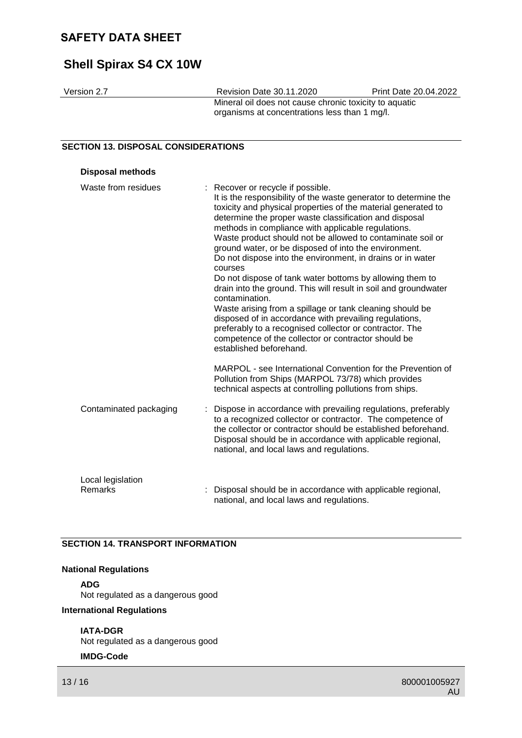# **Shell Spirax S4 CX 10W**

| Version 2.7 | <b>Revision Date 30.11.2020</b>                                                                         | <b>Print Date 20.04.2022</b> |
|-------------|---------------------------------------------------------------------------------------------------------|------------------------------|
|             | Mineral oil does not cause chronic toxicity to aquatic<br>organisms at concentrations less than 1 mg/l. |                              |

### **SECTION 13. DISPOSAL CONSIDERATIONS**

| <b>Disposal methods</b>      |                                                                                                                                                                                                                                                                                                                                                                                                                                                                                                                                                                                                                                                                                                                                                                                                                                                                                                            |
|------------------------------|------------------------------------------------------------------------------------------------------------------------------------------------------------------------------------------------------------------------------------------------------------------------------------------------------------------------------------------------------------------------------------------------------------------------------------------------------------------------------------------------------------------------------------------------------------------------------------------------------------------------------------------------------------------------------------------------------------------------------------------------------------------------------------------------------------------------------------------------------------------------------------------------------------|
| Waste from residues          | : Recover or recycle if possible.<br>It is the responsibility of the waste generator to determine the<br>toxicity and physical properties of the material generated to<br>determine the proper waste classification and disposal<br>methods in compliance with applicable regulations.<br>Waste product should not be allowed to contaminate soil or<br>ground water, or be disposed of into the environment.<br>Do not dispose into the environment, in drains or in water<br>courses<br>Do not dispose of tank water bottoms by allowing them to<br>drain into the ground. This will result in soil and groundwater<br>contamination.<br>Waste arising from a spillage or tank cleaning should be<br>disposed of in accordance with prevailing regulations,<br>preferably to a recognised collector or contractor. The<br>competence of the collector or contractor should be<br>established beforehand. |
|                              | MARPOL - see International Convention for the Prevention of<br>Pollution from Ships (MARPOL 73/78) which provides<br>technical aspects at controlling pollutions from ships.                                                                                                                                                                                                                                                                                                                                                                                                                                                                                                                                                                                                                                                                                                                               |
| Contaminated packaging       | Dispose in accordance with prevailing regulations, preferably<br>to a recognized collector or contractor. The competence of<br>the collector or contractor should be established beforehand.<br>Disposal should be in accordance with applicable regional,<br>national, and local laws and regulations.                                                                                                                                                                                                                                                                                                                                                                                                                                                                                                                                                                                                    |
| Local legislation<br>Remarks | Disposal should be in accordance with applicable regional,<br>national, and local laws and regulations.                                                                                                                                                                                                                                                                                                                                                                                                                                                                                                                                                                                                                                                                                                                                                                                                    |

#### **SECTION 14. TRANSPORT INFORMATION**

#### **National Regulations**

**ADG**

Not regulated as a dangerous good

**International Regulations**

#### **IATA-DGR**

Not regulated as a dangerous good

### **IMDG-Code**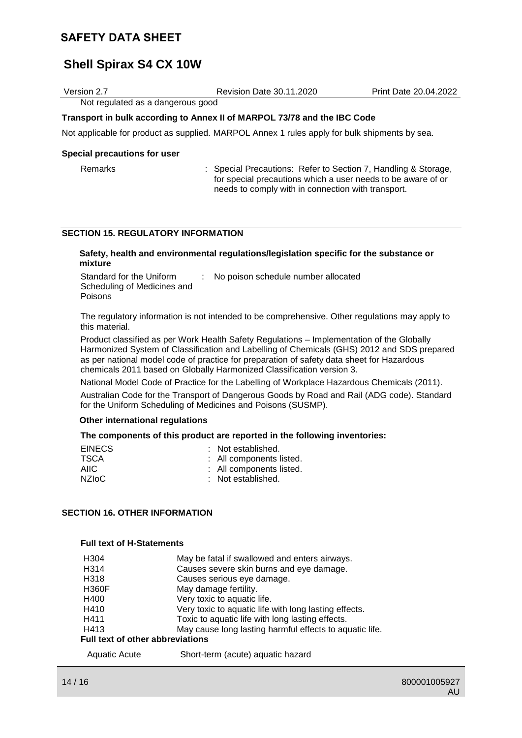# **Shell Spirax S4 CX 10W**

| Version 2.7                                                              | <b>Revision Date 30.11.2020</b>                                                               | <b>Print Date 20.04.2022</b> |  |
|--------------------------------------------------------------------------|-----------------------------------------------------------------------------------------------|------------------------------|--|
| Not regulated as a dangerous good                                        |                                                                                               |                              |  |
| Transport in bulk according to Annex II of MARPOL 73/78 and the IBC Code |                                                                                               |                              |  |
|                                                                          | Not applicable for product as supplied. MARPOL Annex 1 rules apply for bulk shipments by sea. |                              |  |

#### **Special precautions for user**

| Remarks |
|---------|
|---------|

: Special Precautions: Refer to Section 7, Handling & Storage, for special precautions which a user needs to be aware of or needs to comply with in connection with transport.

#### **SECTION 15. REGULATORY INFORMATION**

#### **Safety, health and environmental regulations/legislation specific for the substance or mixture**

| Standard for the Uniform    | : No poison schedule number allocated |
|-----------------------------|---------------------------------------|
| Scheduling of Medicines and |                                       |
| <b>Poisons</b>              |                                       |

The regulatory information is not intended to be comprehensive. Other regulations may apply to this material.

Product classified as per Work Health Safety Regulations – Implementation of the Globally Harmonized System of Classification and Labelling of Chemicals (GHS) 2012 and SDS prepared as per national model code of practice for preparation of safety data sheet for Hazardous chemicals 2011 based on Globally Harmonized Classification version 3.

National Model Code of Practice for the Labelling of Workplace Hazardous Chemicals (2011). Australian Code for the Transport of Dangerous Goods by Road and Rail (ADG code). Standard for the Uniform Scheduling of Medicines and Poisons (SUSMP).

#### **Other international regulations**

#### **The components of this product are reported in the following inventories:**

| <b>EINECS</b><br><b>TSCA</b> | : Not established.<br>: All components listed. |
|------------------------------|------------------------------------------------|
| <b>AIIC</b>                  | : All components listed.                       |
| NZI <sub>o</sub> C           | : Not established.                             |

#### **SECTION 16. OTHER INFORMATION**

#### **Full text of H-Statements**

| H304                                    | May be fatal if swallowed and enters airways.           |  |  |
|-----------------------------------------|---------------------------------------------------------|--|--|
| H314                                    | Causes severe skin burns and eye damage.                |  |  |
| H318                                    | Causes serious eye damage.                              |  |  |
| <b>H360F</b>                            | May damage fertility.                                   |  |  |
| H400                                    | Very toxic to aquatic life.                             |  |  |
| H410                                    | Very toxic to aquatic life with long lasting effects.   |  |  |
| H411                                    | Toxic to aquatic life with long lasting effects.        |  |  |
| H413                                    | May cause long lasting harmful effects to aquatic life. |  |  |
| <b>Full text of other abbreviations</b> |                                                         |  |  |
| <b>Aquatic Acute</b>                    | Short-term (acute) aquatic hazard                       |  |  |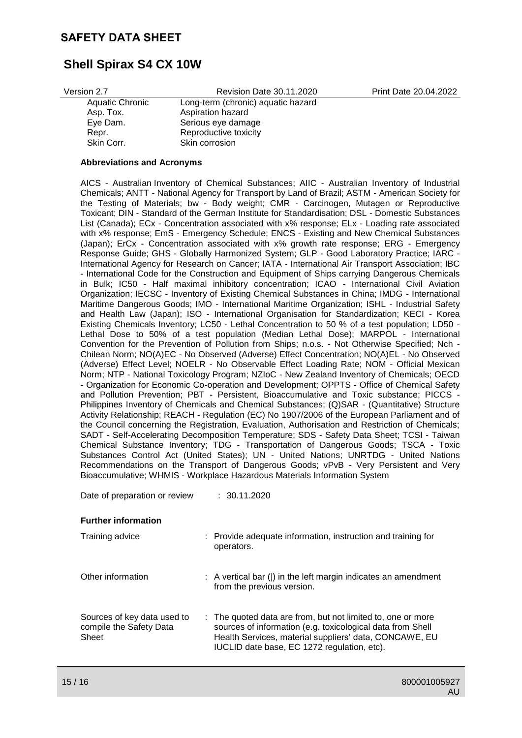## **Shell Spirax S4 CX 10W**

Version 2.7 Revision Date 30.11.2020 Print Date 20.04.2022

| Long-term (chronic) aquatic hazard |
|------------------------------------|
| Aspiration hazard                  |
| Serious eye damage                 |
| Reproductive toxicity              |
| Skin corrosion                     |
|                                    |

#### **Abbreviations and Acronyms**

AICS - Australian Inventory of Chemical Substances; AIIC - Australian Inventory of Industrial Chemicals; ANTT - National Agency for Transport by Land of Brazil; ASTM - American Society for the Testing of Materials; bw - Body weight; CMR - Carcinogen, Mutagen or Reproductive Toxicant; DIN - Standard of the German Institute for Standardisation; DSL - Domestic Substances List (Canada); ECx - Concentration associated with x% response; ELx - Loading rate associated with x% response; EmS - Emergency Schedule; ENCS - Existing and New Chemical Substances (Japan); ErCx - Concentration associated with x% growth rate response; ERG - Emergency Response Guide; GHS - Globally Harmonized System; GLP - Good Laboratory Practice; IARC - International Agency for Research on Cancer; IATA - International Air Transport Association; IBC - International Code for the Construction and Equipment of Ships carrying Dangerous Chemicals in Bulk; IC50 - Half maximal inhibitory concentration; ICAO - International Civil Aviation Organization; IECSC - Inventory of Existing Chemical Substances in China; IMDG - International Maritime Dangerous Goods; IMO - International Maritime Organization; ISHL - Industrial Safety and Health Law (Japan); ISO - International Organisation for Standardization; KECI - Korea Existing Chemicals Inventory; LC50 - Lethal Concentration to 50 % of a test population; LD50 - Lethal Dose to 50% of a test population (Median Lethal Dose); MARPOL - International Convention for the Prevention of Pollution from Ships; n.o.s. - Not Otherwise Specified; Nch - Chilean Norm; NO(A)EC - No Observed (Adverse) Effect Concentration; NO(A)EL - No Observed (Adverse) Effect Level; NOELR - No Observable Effect Loading Rate; NOM - Official Mexican Norm; NTP - National Toxicology Program; NZIoC - New Zealand Inventory of Chemicals; OECD - Organization for Economic Co-operation and Development; OPPTS - Office of Chemical Safety and Pollution Prevention; PBT - Persistent, Bioaccumulative and Toxic substance; PICCS - Philippines Inventory of Chemicals and Chemical Substances; (Q)SAR - (Quantitative) Structure Activity Relationship; REACH - Regulation (EC) No 1907/2006 of the European Parliament and of the Council concerning the Registration, Evaluation, Authorisation and Restriction of Chemicals; SADT - Self-Accelerating Decomposition Temperature; SDS - Safety Data Sheet; TCSI - Taiwan Chemical Substance Inventory; TDG - Transportation of Dangerous Goods; TSCA - Toxic Substances Control Act (United States); UN - United Nations; UNRTDG - United Nations Recommendations on the Transport of Dangerous Goods; vPvB - Very Persistent and Very Bioaccumulative; WHMIS - Workplace Hazardous Materials Information System

Date of preparation or review : 30.11.2020

#### **Further information**

| Training advice                                                 | : Provide adequate information, instruction and training for<br>operators.                                                                                                                                                         |
|-----------------------------------------------------------------|------------------------------------------------------------------------------------------------------------------------------------------------------------------------------------------------------------------------------------|
| Other information                                               | : A vertical bar ( ) in the left margin indicates an amendment<br>from the previous version.                                                                                                                                       |
| Sources of key data used to<br>compile the Safety Data<br>Sheet | : The quoted data are from, but not limited to, one or more<br>sources of information (e.g. toxicological data from Shell<br>Health Services, material suppliers' data, CONCAWE, EU<br>IUCLID date base, EC 1272 regulation, etc). |